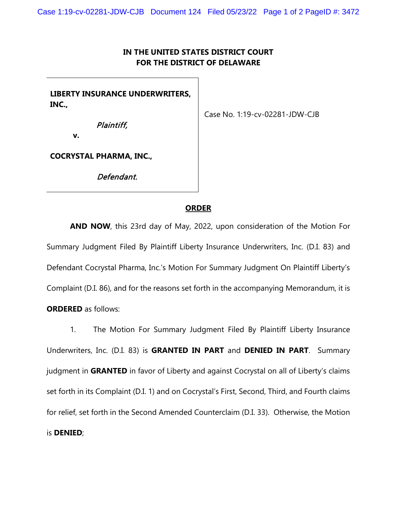## **IN THE UNITED STATES DISTRICT COURT FOR THE DISTRICT OF DELAWARE**

**LIBERTY INSURANCE UNDERWRITERS, INC.,** 

Case No. 1:19-cv-02281-JDW-CJB

Plaintiff,

**COCRYSTAL PHARMA, INC.,** 

**v.**

Defendant.

## **ORDER**

**AND NOW**, this 23rd day of May, 2022, upon consideration of the Motion For Summary Judgment Filed By Plaintiff Liberty Insurance Underwriters, Inc. (D.I. 83) and Defendant Cocrystal Pharma, Inc.'s Motion For Summary Judgment On Plaintiff Liberty's Complaint (D.I. 86), and for the reasons set forth in the accompanying Memorandum, it is **ORDERED** as follows:

1. The Motion For Summary Judgment Filed By Plaintiff Liberty Insurance Underwriters, Inc. (D.I. 83) is **GRANTED IN PART** and **DENIED IN PART**. Summary judgment in **GRANTED** in favor of Liberty and against Cocrystal on all of Liberty's claims set forth in its Complaint (D.I. 1) and on Cocrystal's First, Second, Third, and Fourth claims for relief, set forth in the Second Amended Counterclaim (D.I. 33). Otherwise, the Motion is **DENIED**;